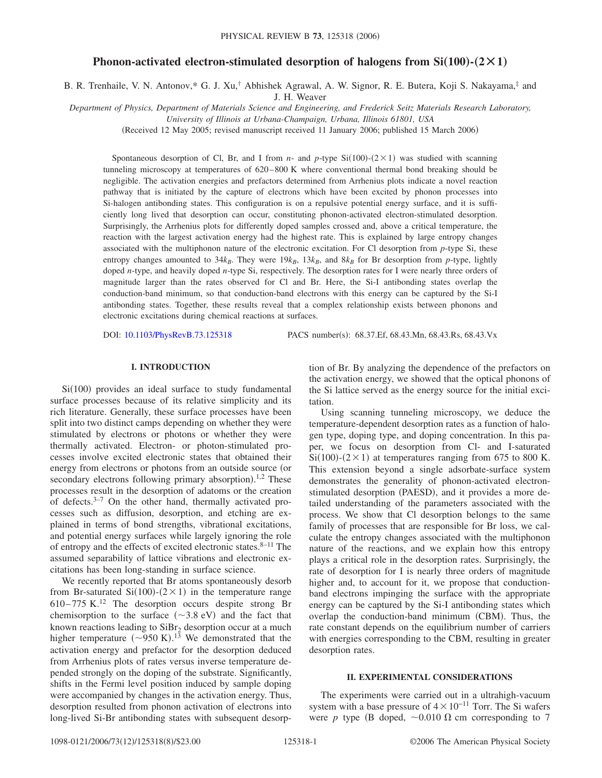# **Phonon-activated electron-stimulated desorption of halogens from**  $Si(100)$  **–**  $(2 \times 1)$

B. R. Trenhaile, V. N. Antonov,\* G. J. Xu,† Abhishek Agrawal, A. W. Signor, R. E. Butera, Koji S. Nakayama,‡ and J. H. Weaver

*Department of Physics, Department of Materials Science and Engineering, and Frederick Seitz Materials Research Laboratory,*

*University of Illinois at Urbana-Champaign, Urbana, Illinois 61801, USA*

(Received 12 May 2005; revised manuscript received 11 January 2006; published 15 March 2006)

Spontaneous desorption of Cl, Br, and I from *n*- and *p*-type  $Si(100)-(2\times1)$  was studied with scanning tunneling microscopy at temperatures of 620–800 K where conventional thermal bond breaking should be negligible. The activation energies and prefactors determined from Arrhenius plots indicate a novel reaction pathway that is initiated by the capture of electrons which have been excited by phonon processes into Si-halogen antibonding states. This configuration is on a repulsive potential energy surface, and it is sufficiently long lived that desorption can occur, constituting phonon-activated electron-stimulated desorption. Surprisingly, the Arrhenius plots for differently doped samples crossed and, above a critical temperature, the reaction with the largest activation energy had the highest rate. This is explained by large entropy changes associated with the multiphonon nature of the electronic excitation. For Cl desorption from *p*-type Si, these entropy changes amounted to  $34k_B$ . They were  $19k_B$ ,  $13k_B$ , and  $8k_B$  for Br desorption from *p*-type, lightly doped *n*-type, and heavily doped *n*-type Si, respectively. The desorption rates for I were nearly three orders of magnitude larger than the rates observed for Cl and Br. Here, the Si-I antibonding states overlap the conduction-band minimum, so that conduction-band electrons with this energy can be captured by the Si-I antibonding states. Together, these results reveal that a complex relationship exists between phonons and electronic excitations during chemical reactions at surfaces.

DOI: [10.1103/PhysRevB.73.125318](http://dx.doi.org/10.1103/PhysRevB.73.125318)

PACS number(s): 68.37.Ef, 68.43.Mn, 68.43.Rs, 68.43.Vx

# **I. INTRODUCTION**

Si(100) provides an ideal surface to study fundamental surface processes because of its relative simplicity and its rich literature. Generally, these surface processes have been split into two distinct camps depending on whether they were stimulated by electrons or photons or whether they were thermally activated. Electron- or photon-stimulated processes involve excited electronic states that obtained their energy from electrons or photons from an outside source (or secondary electrons following primary absorption).<sup>1,2</sup> These processes result in the desorption of adatoms or the creation of defects. $3-7$  On the other hand, thermally activated processes such as diffusion, desorption, and etching are explained in terms of bond strengths, vibrational excitations, and potential energy surfaces while largely ignoring the role of entropy and the effects of excited electronic states. $8-11$  The assumed separability of lattice vibrations and electronic excitations has been long-standing in surface science.

We recently reported that Br atoms spontaneously desorb from Br-saturated Si $(100)$ - $(2 \times 1)$  in the temperature range  $610-775$  K.<sup>12</sup> The desorption occurs despite strong Br chemisorption to the surface  $(\sim 3.8 \text{ eV})$  and the fact that known reactions leading to  $\text{SiBr}_2$  desorption occur at a much higher temperature  $({\sim}950 \text{ K})$ .<sup>13</sup> We demonstrated that the activation energy and prefactor for the desorption deduced from Arrhenius plots of rates versus inverse temperature depended strongly on the doping of the substrate. Significantly, shifts in the Fermi level position induced by sample doping were accompanied by changes in the activation energy. Thus, desorption resulted from phonon activation of electrons into long-lived Si-Br antibonding states with subsequent desorption of Br. By analyzing the dependence of the prefactors on the activation energy, we showed that the optical phonons of the Si lattice served as the energy source for the initial excitation.

Using scanning tunneling microscopy, we deduce the temperature-dependent desorption rates as a function of halogen type, doping type, and doping concentration. In this paper, we focus on desorption from Cl- and I-saturated  $Si(100)$ - $(2 \times 1)$  at temperatures ranging from 675 to 800 K. This extension beyond a single adsorbate-surface system demonstrates the generality of phonon-activated electronstimulated desorption (PAESD), and it provides a more detailed understanding of the parameters associated with the process. We show that Cl desorption belongs to the same family of processes that are responsible for Br loss, we calculate the entropy changes associated with the multiphonon nature of the reactions, and we explain how this entropy plays a critical role in the desorption rates. Surprisingly, the rate of desorption for I is nearly three orders of magnitude higher and, to account for it, we propose that conductionband electrons impinging the surface with the appropriate energy can be captured by the Si-I antibonding states which overlap the conduction-band minimum (CBM). Thus, the rate constant depends on the equilibrium number of carriers with energies corresponding to the CBM, resulting in greater desorption rates.

## **II. EXPERIMENTAL CONSIDERATIONS**

The experiments were carried out in a ultrahigh-vacuum system with a base pressure of  $4 \times 10^{-11}$  Torr. The Si wafers were *p* type (B doped,  $\sim 0.010 \Omega$  cm corresponding to 7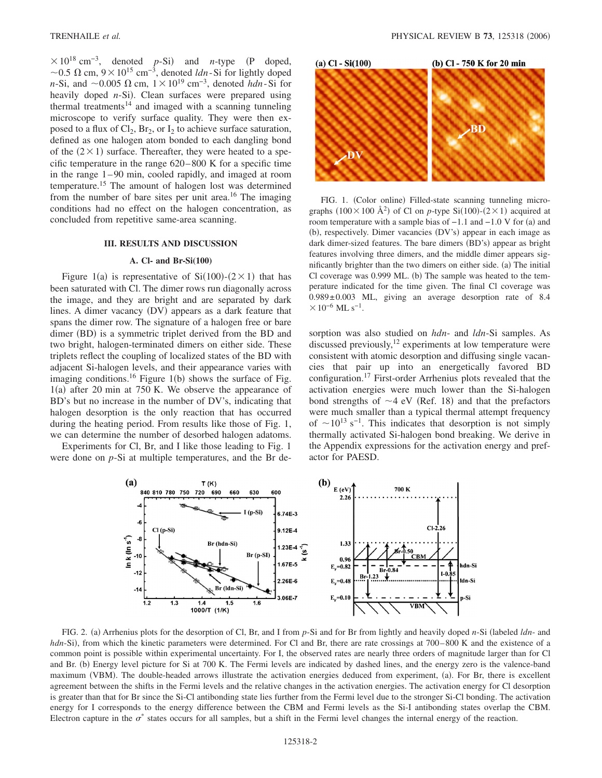$\times 10^{18}$  cm<sup>-3</sup>, denoted *p*-Si) and *n*-type (P doped, ~0.5  $\Omega$  cm,  $9 \times 10^{15}$  cm<sup>-3</sup>, denoted *ldn*-Si for lightly doped *n*-Si, and  $\sim$  0.005  $\Omega$  cm,  $1 \times 10^{19}$  cm<sup>-3</sup>, denoted *hdn*-Si for heavily doped *n*-Si). Clean surfaces were prepared using thermal treatments<sup>14</sup> and imaged with a scanning tunneling microscope to verify surface quality. They were then exposed to a flux of  $Cl_2$ ,  $Br_2$ , or  $I_2$  to achieve surface saturation, defined as one halogen atom bonded to each dangling bond of the  $(2 \times 1)$  surface. Thereafter, they were heated to a specific temperature in the range 620–800 K for a specific time in the range 1–90 min, cooled rapidly, and imaged at room temperature.15 The amount of halogen lost was determined from the number of bare sites per unit area.<sup>16</sup> The imaging conditions had no effect on the halogen concentration, as concluded from repetitive same-area scanning.

# **III. RESULTS AND DISCUSSION**

#### **A. Cl- and Br-Si(100)**

Figure 1(a) is representative of  $Si(100)-(2\times1)$  that has been saturated with Cl. The dimer rows run diagonally across the image, and they are bright and are separated by dark lines. A dimer vacancy (DV) appears as a dark feature that spans the dimer row. The signature of a halogen free or bare dimer (BD) is a symmetric triplet derived from the BD and two bright, halogen-terminated dimers on either side. These triplets reflect the coupling of localized states of the BD with adjacent Si-halogen levels, and their appearance varies with imaging conditions.<sup>16</sup> Figure 1(b) shows the surface of Fig.  $1(a)$  after 20 min at 750 K. We observe the appearance of BD's but no increase in the number of DV's, indicating that halogen desorption is the only reaction that has occurred during the heating period. From results like those of Fig. 1, we can determine the number of desorbed halogen adatoms.

Experiments for Cl, Br, and I like those leading to Fig. 1 were done on *p*-Si at multiple temperatures, and the Br de-



FIG. 1. (Color online) Filled-state scanning tunneling micrographs  $(100 \times 100 \text{ Å}^2)$  of Cl on *p*-type Si $(100)-(2\times1)$  acquired at room temperature with a sample bias of  $-1.1$  and  $-1.0$  V for (a) and (b), respectively. Dimer vacancies (DV's) appear in each image as dark dimer-sized features. The bare dimers (BD's) appear as bright features involving three dimers, and the middle dimer appears significantly brighter than the two dimers on either side. (a) The initial Cl coverage was 0.999 ML. (b) The sample was heated to the temperature indicated for the time given. The final Cl coverage was 0.989±0.003 ML, giving an average desorption rate of 8.4  $\times 10^{-6}$  ML s<sup>-1</sup>.

sorption was also studied on *hdn*- and *ldn*-Si samples. As discussed previously,  $12$  experiments at low temperature were consistent with atomic desorption and diffusing single vacancies that pair up into an energetically favored BD configuration.17 First-order Arrhenius plots revealed that the activation energies were much lower than the Si-halogen bond strengths of  $\sim$ 4 eV (Ref. 18) and that the prefactors were much smaller than a typical thermal attempt frequency of  $\sim 10^{13}$  s<sup>-1</sup>. This indicates that desorption is not simply thermally activated Si-halogen bond breaking. We derive in the Appendix expressions for the activation energy and prefactor for PAESD.



FIG. 2. (a) Arrhenius plots for the desorption of Cl, Br, and I from *p*-Si and for Br from lightly and heavily doped *n*-Si (labeled *ldn*- and hdn-Si), from which the kinetic parameters were determined. For Cl and Br, there are rate crossings at 700–800 K and the existence of a common point is possible within experimental uncertainty. For I, the observed rates are nearly three orders of magnitude larger than for Cl and Br. (b) Energy level picture for Si at 700 K. The Fermi levels are indicated by dashed lines, and the energy zero is the valence-band maximum (VBM). The double-headed arrows illustrate the activation energies deduced from experiment, (a). For Br, there is excellent agreement between the shifts in the Fermi levels and the relative changes in the activation energies. The activation energy for Cl desorption is greater than that for Br since the Si-Cl antibonding state lies further from the Fermi level due to the stronger Si-Cl bonding. The activation energy for I corresponds to the energy difference between the CBM and Fermi levels as the Si-I antibonding states overlap the CBM. Electron capture in the  $\sigma^*$  states occurs for all samples, but a shift in the Fermi level changes the internal energy of the reaction.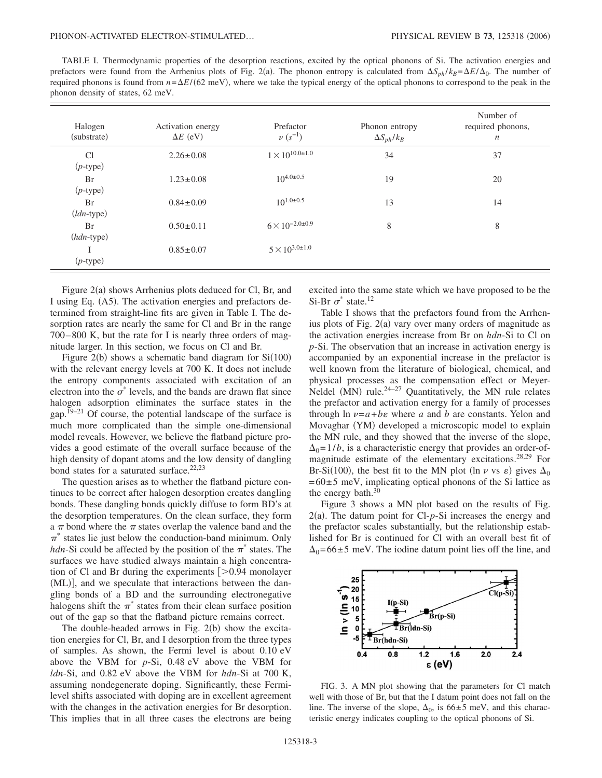TABLE I. Thermodynamic properties of the desorption reactions, excited by the optical phonons of Si. The activation energies and prefactors were found from the Arrhenius plots of Fig. 2(a). The phonon entropy is calculated from  $\Delta S_{ph}/k_B = \Delta E/\Delta_0$ . The number of required phonons is found from  $n = \Delta E/(62 \text{ meV})$ , where we take the typical energy of the optical phonons to correspond to the peak in the phonon density of states, 62 meV.

| Halogen<br>(substrate) | Activation energy<br>$\Delta E$ (eV) | Prefactor<br>$\nu (s^{-1})$  | Phonon entropy<br>$\Delta S_{ph}/k_B$ | Number of<br>required phonons,<br>$\boldsymbol{n}$ |
|------------------------|--------------------------------------|------------------------------|---------------------------------------|----------------------------------------------------|
| Cl<br>$(p$ -type)      | $2.26 \pm 0.08$                      | $1 \times 10^{10.0 \pm 1.0}$ | 34                                    | 37                                                 |
| Br<br>$(p$ -type)      | $1.23 \pm 0.08$                      | $10^{4.0 \pm 0.5}$           | 19                                    | 20                                                 |
| Br<br>$(ldn$ -type)    | $0.84 \pm 0.09$                      | $10^{1.0 \pm 0.5}$           | 13                                    | 14                                                 |
| Br<br>$(hdn$ -type)    | $0.50 \pm 0.11$                      | $6 \times 10^{-2.0 \pm 0.9}$ | 8                                     | 8                                                  |
| $(p$ -type)            | $0.85 \pm 0.07$                      | $5 \times 10^{3.0 \pm 1.0}$  |                                       |                                                    |

Figure 2(a) shows Arrhenius plots deduced for Cl, Br, and I using Eq. (A5). The activation energies and prefactors determined from straight-line fits are given in Table I. The desorption rates are nearly the same for Cl and Br in the range 700–800 K, but the rate for I is nearly three orders of magnitude larger. In this section, we focus on Cl and Br.

Figure  $2(b)$  shows a schematic band diagram for  $Si(100)$ with the relevant energy levels at 700 K. It does not include the entropy components associated with excitation of an electron into the  $\sigma^*$  levels, and the bands are drawn flat since halogen adsorption eliminates the surface states in the gap.19–21 Of course, the potential landscape of the surface is much more complicated than the simple one-dimensional model reveals. However, we believe the flatband picture provides a good estimate of the overall surface because of the high density of dopant atoms and the low density of dangling bond states for a saturated surface.<sup>22,23</sup>

The question arises as to whether the flatband picture continues to be correct after halogen desorption creates dangling bonds. These dangling bonds quickly diffuse to form BD's at the desorption temperatures. On the clean surface, they form a  $\pi$  bond where the  $\pi$  states overlap the valence band and the  $\pi^*$  states lie just below the conduction-band minimum. Only *hdn*-Si could be affected by the position of the  $\pi^*$  states. The surfaces we have studied always maintain a high concentration of Cl and Br during the experiments  $\approx$  0.94 monolayer (ML)], and we speculate that interactions between the dangling bonds of a BD and the surrounding electronegative halogens shift the  $\pi^*$  states from their clean surface position out of the gap so that the flatband picture remains correct.

The double-headed arrows in Fig.  $2(b)$  show the excitation energies for Cl, Br, and I desorption from the three types of samples. As shown, the Fermi level is about 0.10 eV above the VBM for *p*-Si, 0.48 eV above the VBM for *ldn*-Si, and 0.82 eV above the VBM for *hdn*-Si at 700 K, assuming nondegenerate doping. Significantly, these Fermilevel shifts associated with doping are in excellent agreement with the changes in the activation energies for Br desorption. This implies that in all three cases the electrons are being excited into the same state which we have proposed to be the Si-Br  $\sigma^*$  state.<sup>12</sup>

Table I shows that the prefactors found from the Arrhenius plots of Fig.  $2(a)$  vary over many orders of magnitude as the activation energies increase from Br on *hdn*-Si to Cl on *p*-Si. The observation that an increase in activation energy is accompanied by an exponential increase in the prefactor is well known from the literature of biological, chemical, and physical processes as the compensation effect or Meyer-Neldel  $(MN)$  rule.<sup>24–27</sup> Quantitatively, the MN rule relates the prefactor and activation energy for a family of processes through  $\ln v = a + b\varepsilon$  where *a* and *b* are constants. Yelon and Movaghar (YM) developed a microscopic model to explain the MN rule, and they showed that the inverse of the slope,  $\Delta_0$ =1/*b*, is a characteristic energy that provides an order-ofmagnitude estimate of the elementary excitations.28,29 For Br-Si(100), the best fit to the MN plot (ln  $\nu$  vs  $\varepsilon$ ) gives  $\Delta_0$  $=60\pm5$  meV, implicating optical phonons of the Si lattice as the energy bath. $30$ 

Figure 3 shows a MN plot based on the results of Fig.  $2(a)$ . The datum point for Cl- $p$ -Si increases the energy and the prefactor scales substantially, but the relationship established for Br is continued for Cl with an overall best fit of  $\Delta_0$ =66±5 meV. The iodine datum point lies off the line, and



FIG. 3. A MN plot showing that the parameters for Cl match well with those of Br, but that the I datum point does not fall on the line. The inverse of the slope,  $\Delta_0$ , is 66 $\pm$ 5 meV, and this characteristic energy indicates coupling to the optical phonons of Si.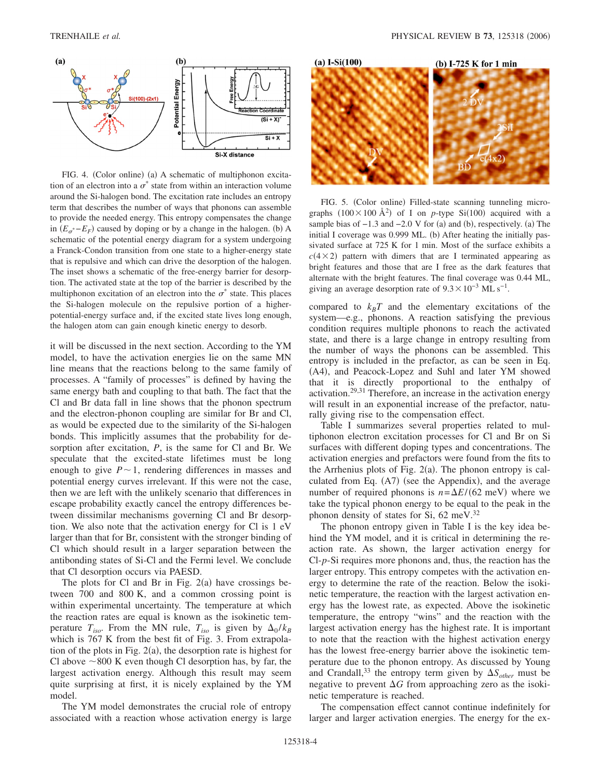

FIG. 4. (Color online) (a) A schematic of multiphonon excitation of an electron into a  $\sigma^*$  state from within an interaction volume around the Si-halogen bond. The excitation rate includes an entropy term that describes the number of ways that phonons can assemble to provide the needed energy. This entropy compensates the change in  $(E_{\sigma^*}-E_F)$  caused by doping or by a change in the halogen. (b) A schematic of the potential energy diagram for a system undergoing a Franck-Condon transition from one state to a higher-energy state that is repulsive and which can drive the desorption of the halogen. The inset shows a schematic of the free-energy barrier for desorption. The activated state at the top of the barrier is described by the multiphonon excitation of an electron into the  $\sigma^*$  state. This places the Si-halogen molecule on the repulsive portion of a higherpotential-energy surface and, if the excited state lives long enough, the halogen atom can gain enough kinetic energy to desorb.

it will be discussed in the next section. According to the YM model, to have the activation energies lie on the same MN line means that the reactions belong to the same family of processes. A "family of processes" is defined by having the same energy bath and coupling to that bath. The fact that the Cl and Br data fall in line shows that the phonon spectrum and the electron-phonon coupling are similar for Br and Cl, as would be expected due to the similarity of the Si-halogen bonds. This implicitly assumes that the probability for desorption after excitation, *P*, is the same for Cl and Br. We speculate that the excited-state lifetimes must be long enough to give  $P \sim 1$ , rendering differences in masses and potential energy curves irrelevant. If this were not the case, then we are left with the unlikely scenario that differences in escape probability exactly cancel the entropy differences between dissimilar mechanisms governing Cl and Br desorption. We also note that the activation energy for Cl is 1 eV larger than that for Br, consistent with the stronger binding of Cl which should result in a larger separation between the antibonding states of Si-Cl and the Fermi level. We conclude that Cl desorption occurs via PAESD.

The plots for Cl and Br in Fig.  $2(a)$  have crossings between 700 and 800 K, and a common crossing point is within experimental uncertainty. The temperature at which the reaction rates are equal is known as the isokinetic temperature  $T_{iso}$ . From the MN rule,  $T_{iso}$  is given by  $\Delta_0/k_B$ which is 767 K from the best fit of Fig. 3. From extrapolation of the plots in Fig.  $2(a)$ , the desorption rate is highest for Cl above  $\sim$  800 K even though Cl desorption has, by far, the largest activation energy. Although this result may seem quite surprising at first, it is nicely explained by the YM model.

The YM model demonstrates the crucial role of entropy associated with a reaction whose activation energy is large



FIG. 5. (Color online) Filled-state scanning tunneling micrographs  $(100 \times 100 \text{ Å}^2)$  of I on *p*-type Si $(100)$  acquired with a sample bias of  $-1.3$  and  $-2.0$  V for (a) and (b), respectively. (a) The initial I coverage was 0.999 ML. (b) After heating the initially passivated surface at 725 K for 1 min. Most of the surface exhibits a  $c(4 \times 2)$  pattern with dimers that are I terminated appearing as bright features and those that are I free as the dark features that alternate with the bright features. The final coverage was 0.44 ML, giving an average desorption rate of  $9.3 \times 10^{-3}$  ML s<sup>-1</sup>.

compared to  $k_B T$  and the elementary excitations of the system—e.g., phonons. A reaction satisfying the previous condition requires multiple phonons to reach the activated state, and there is a large change in entropy resulting from the number of ways the phonons can be assembled. This entropy is included in the prefactor, as can be seen in Eq. (A4), and Peacock-Lopez and Suhl and later YM showed that it is directly proportional to the enthalpy of activation.29,31 Therefore, an increase in the activation energy will result in an exponential increase of the prefactor, naturally giving rise to the compensation effect.

Table I summarizes several properties related to multiphonon electron excitation processes for Cl and Br on Si surfaces with different doping types and concentrations. The activation energies and prefactors were found from the fits to the Arrhenius plots of Fig.  $2(a)$ . The phonon entropy is calculated from Eq. (A7) (see the Appendix), and the average number of required phonons is  $n = \Delta E / (62 \text{ meV})$  where we take the typical phonon energy to be equal to the peak in the phonon density of states for Si,  $62 \text{ meV}$ .<sup>32</sup>

The phonon entropy given in Table I is the key idea behind the YM model, and it is critical in determining the reaction rate. As shown, the larger activation energy for Cl-*p*-Si requires more phonons and, thus, the reaction has the larger entropy. This entropy competes with the activation energy to determine the rate of the reaction. Below the isokinetic temperature, the reaction with the largest activation energy has the lowest rate, as expected. Above the isokinetic temperature, the entropy "wins" and the reaction with the largest activation energy has the highest rate. It is important to note that the reaction with the highest activation energy has the lowest free-energy barrier above the isokinetic temperature due to the phonon entropy. As discussed by Young and Crandall,<sup>33</sup> the entropy term given by  $\Delta S_{other}$  must be negative to prevent  $\Delta G$  from approaching zero as the isokinetic temperature is reached.

The compensation effect cannot continue indefinitely for larger and larger activation energies. The energy for the ex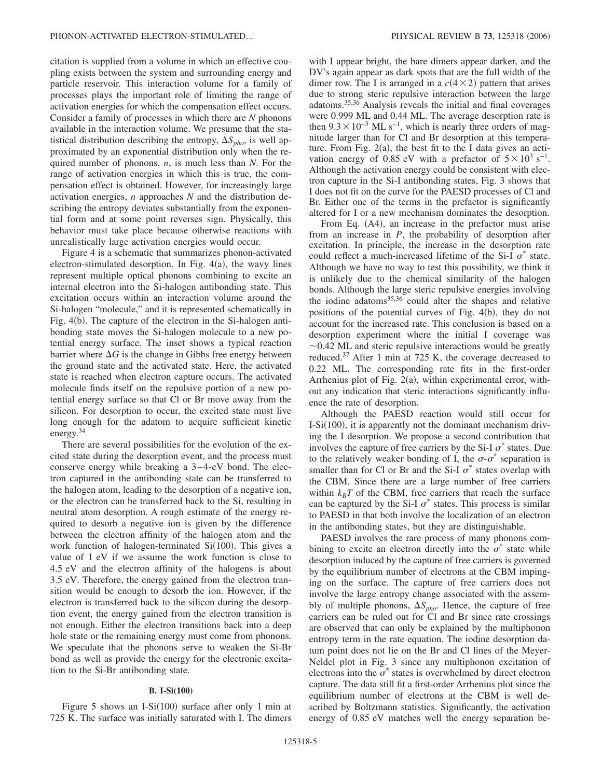citation is supplied from a volume in which an effective coupling exists between the system and surrounding energy and particle reservoir. This interaction volume for a family of processes plays the important role of limiting the range of activation energies for which the compensation effect occurs. Consider a family of processes in which there are *N* phonons available in the interaction volume. We presume that the statistical distribution describing the entropy,  $\Delta S_{pho}$ , is well approximated by an exponential distribution only when the required number of phonons, *n*, is much less than *N*. For the range of activation energies in which this is true, the compensation effect is obtained. However, for increasingly large activation energies, *n* approaches *N* and the distribution describing the entropy deviates substantially from the exponential form and at some point reverses sign. Physically, this behavior must take place because otherwise reactions with unrealistically large activation energies would occur.

Figure 4 is a schematic that summarizes phonon-activated electron-stimulated desorption. In Fig. 4(a), the wavy lines represent multiple optical phonons combining to excite an internal electron into the Si-halogen antibonding state. This excitation occurs within an interaction volume around the Si-halogen "molecule," and it is represented schematically in Fig. 4(b). The capture of the electron in the Si-halogen antibonding state moves the Si-halogen molecule to a new potential energy surface. The inset shows a typical reaction barrier where  $\Delta G$  is the change in Gibbs free energy between the ground state and the activated state. Here, the activated state is reached when electron capture occurs. The activated molecule finds itself on the repulsive portion of a new potential energy surface so that Cl or Br move away from the silicon. For desorption to occur, the excited state must live long enough for the adatom to acquire sufficient kinetic energy.<sup>34</sup>

There are several possibilities for the evolution of the excited state during the desorption event, and the process must conserve energy while breaking a 3–4-eV bond. The electron captured in the antibonding state can be transferred to the halogen atom, leading to the desorption of a negative ion, or the electron can be transferred back to the Si, resulting in neutral atom desorption. A rough estimate of the energy required to desorb a negative ion is given by the difference between the electron affinity of the halogen atom and the work function of halogen-terminated  $Si(100)$ . This gives a value of 1 eV if we assume the work function is close to 4.5 eV and the electron affinity of the halogens is about 3.5 eV. Therefore, the energy gained from the electron transition would be enough to desorb the ion. However, if the electron is transferred back to the silicon during the desorption event, the energy gained from the electron transition is not enough. Either the electron transitions back into a deep hole state or the remaining energy must come from phonons. We speculate that the phonons serve to weaken the Si-Br bond as well as provide the energy for the electronic excitation to the Si-Br antibonding state.

#### **B. I-Si(100)**

Figure 5 shows an I-Si $(100)$  surface after only 1 min at 725 K. The surface was initially saturated with I. The dimers with I appear bright, the bare dimers appear darker, and the DV's again appear as dark spots that are the full width of the dimer row. The I is arranged in a  $c(4 \times 2)$  pattern that arises due to strong steric repulsive interaction between the large adatoms.35,36 Analysis reveals the initial and final coverages were 0.999 ML and 0.44 ML. The average desorption rate is then  $9.3 \times 10^{-3}$  ML s<sup>-1</sup>, which is nearly three orders of magnitude larger than for Cl and Br desorption at this temperature. From Fig.  $2(a)$ , the best fit to the I data gives an activation energy of 0.85 eV with a prefactor of  $5\times10^3$  s<sup>-1</sup>. Although the activation energy could be consistent with electron capture in the Si-I antibonding states, Fig. 3 shows that I does not fit on the curve for the PAESD processes of Cl and Br. Either one of the terms in the prefactor is significantly altered for I or a new mechanism dominates the desorption.

From Eq. (A4), an increase in the prefactor must arise from an increase in *P*, the probability of desorption after excitation. In principle, the increase in the desorption rate could reflect a much-increased lifetime of the Si-I  $\sigma^*$  state. Although we have no way to test this possibility, we think it is unlikely due to the chemical similarity of the halogen bonds. Although the large steric repulsive energies involving the iodine adatoms<sup>35,36</sup> could alter the shapes and relative positions of the potential curves of Fig. 4(b), they do not account for the increased rate. This conclusion is based on a desorption experiment where the initial I coverage was  $\sim$ 0.42 ML and steric repulsive interactions would be greatly reduced.37 After 1 min at 725 K, the coverage decreased to 0.22 ML. The corresponding rate fits in the first-order Arrhenius plot of Fig. 2(a), within experimental error, without any indication that steric interactions significantly influence the rate of desorption.

Although the PAESD reaction would still occur for  $I-Si(100)$ , it is apparently not the dominant mechanism driving the I desorption. We propose a second contribution that involves the capture of free carriers by the Si-I  $\sigma^*$  states. Due to the relatively weaker bonding of I, the  $\sigma$ - $\sigma^*$  separation is smaller than for Cl or Br and the Si-I  $\sigma^*$  states overlap with the CBM. Since there are a large number of free carriers within  $k_B T$  of the CBM, free carriers that reach the surface can be captured by the Si-I  $\sigma^*$  states. This process is similar to PAESD in that both involve the localization of an electron in the antibonding states, but they are distinguishable.

PAESD involves the rare process of many phonons combining to excite an electron directly into the  $\sigma^*$  state while desorption induced by the capture of free carriers is governed by the equilibrium number of electrons at the CBM impinging on the surface. The capture of free carriers does not involve the large entropy change associated with the assembly of multiple phonons,  $\Delta S_{pho}$ . Hence, the capture of free carriers can be ruled out for Cl and Br since rate crossings are observed that can only be explained by the multiphonon entropy term in the rate equation. The iodine desorption datum point does not lie on the Br and Cl lines of the Meyer-Neldel plot in Fig. 3 since any multiphonon excitation of electrons into the  $\sigma^*$  states is overwhelmed by direct electron capture. The data still fit a first-order Arrhenius plot since the equilibrium number of electrons at the CBM is well described by Boltzmann statistics. Significantly, the activation energy of 0.85 eV matches well the energy separation be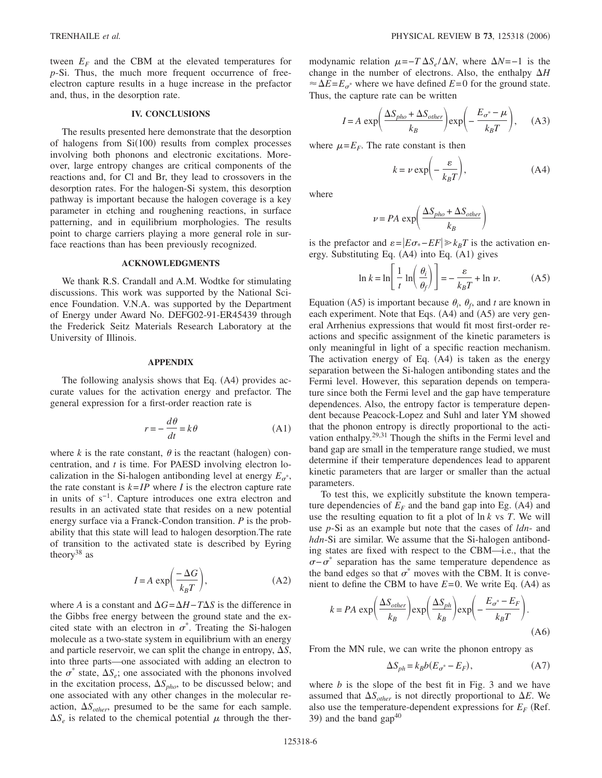tween  $E_F$  and the CBM at the elevated temperatures for *p*-Si. Thus, the much more frequent occurrence of freeelectron capture results in a huge increase in the prefactor and, thus, in the desorption rate.

## **IV. CONCLUSIONS**

The results presented here demonstrate that the desorption of halogens from Si(100) results from complex processes involving both phonons and electronic excitations. Moreover, large entropy changes are critical components of the reactions and, for Cl and Br, they lead to crossovers in the desorption rates. For the halogen-Si system, this desorption pathway is important because the halogen coverage is a key parameter in etching and roughening reactions, in surface patterning, and in equilibrium morphologies. The results point to charge carriers playing a more general role in surface reactions than has been previously recognized.

### **ACKNOWLEDGMENTS**

We thank R.S. Crandall and A.M. Wodtke for stimulating discussions. This work was supported by the National Science Foundation. V.N.A. was supported by the Department of Energy under Award No. DEFG02-91-ER45439 through the Frederick Seitz Materials Research Laboratory at the University of Illinois.

#### **APPENDIX**

The following analysis shows that Eq. (A4) provides accurate values for the activation energy and prefactor. The general expression for a first-order reaction rate is

$$
r = -\frac{d\theta}{dt} = k\theta
$$
 (A1)

where  $k$  is the rate constant,  $\theta$  is the reactant (halogen) concentration, and *t* is time. For PAESD involving electron localization in the Si-halogen antibonding level at energy  $E_{\sigma^*}$ , the rate constant is  $k=IP$  where *I* is the electron capture rate in units of s−1. Capture introduces one extra electron and results in an activated state that resides on a new potential energy surface via a Franck-Condon transition. *P* is the probability that this state will lead to halogen desorption.The rate of transition to the activated state is described by Eyring theory<sup>38</sup> as

$$
I = A \exp\left(\frac{-\Delta G}{k_B T}\right),\tag{A2}
$$

where *A* is a constant and  $\Delta G = \Delta H - T \Delta S$  is the difference in the Gibbs free energy between the ground state and the excited state with an electron in  $\sigma^*$ . Treating the Si-halogen molecule as a two-state system in equilibrium with an energy and particle reservoir, we can split the change in entropy,  $\Delta S$ , into three parts—one associated with adding an electron to the  $\sigma^*$  state,  $\Delta S_e$ ; one associated with the phonons involved in the excitation process,  $\Delta S_{pho}$ , to be discussed below; and one associated with any other changes in the molecular reaction,  $\Delta S_{other}$ , presumed to be the same for each sample.  $\Delta S_e$  is related to the chemical potential  $\mu$  through the ther-

modynamic relation  $\mu = -T \Delta S_e / \Delta N$ , where  $\Delta N = -1$  is the change in the number of electrons. Also, the enthalpy  $\Delta H$  $\approx \Delta E = E_{\sigma^*}$  where we have defined  $E=0$  for the ground state. Thus, the capture rate can be written

$$
I = A \exp\left(\frac{\Delta S_{pho} + \Delta S_{other}}{k_B}\right) \exp\left(-\frac{E_{o^*} - \mu}{k_B T}\right), \quad (A3)
$$

where  $\mu = E_F$ . The rate constant is then

$$
k = \nu \exp\left(-\frac{\varepsilon}{k_B T}\right),\tag{A4}
$$

where

$$
\nu = PA \exp\left(\frac{\Delta S_{pho} + \Delta S_{other}}{k_B}\right)
$$

is the prefactor and  $\varepsilon = |E\sigma_{*} - EF| \ge k_B T$  is the activation energy. Substituting Eq. (A4) into Eq. (A1) gives

$$
\ln k = \ln \left[ \frac{1}{t} \ln \left( \frac{\theta_i}{\theta_f} \right) \right] = -\frac{\varepsilon}{k_B T} + \ln \nu. \tag{A5}
$$

Equation (A5) is important because  $\theta_i$ ,  $\theta_f$ , and *t* are known in each experiment. Note that Eqs. (A4) and (A5) are very general Arrhenius expressions that would fit most first-order reactions and specific assignment of the kinetic parameters is only meaningful in light of a specific reaction mechanism. The activation energy of Eq. (A4) is taken as the energy separation between the Si-halogen antibonding states and the Fermi level. However, this separation depends on temperature since both the Fermi level and the gap have temperature dependences. Also, the entropy factor is temperature dependent because Peacock-Lopez and Suhl and later YM showed that the phonon entropy is directly proportional to the activation enthalpy.29,31 Though the shifts in the Fermi level and band gap are small in the temperature range studied, we must determine if their temperature dependences lead to apparent kinetic parameters that are larger or smaller than the actual parameters.

To test this, we explicitly substitute the known temperature dependencies of  $E_F$  and the band gap into Eg. (A4) and use the resulting equation to fit a plot of ln *k* vs *T*. We will use *p*-Si as an example but note that the cases of *ldn*- and *hdn*-Si are similar. We assume that the Si-halogen antibonding states are fixed with respect to the CBM—i.e., that the  $\sigma$ − $\sigma^*$  separation has the same temperature dependence as the band edges so that  $\sigma^*$  moves with the CBM. It is convenient to define the CBM to have  $E=0$ . We write Eq.  $(A4)$  as

$$
k = PA \exp\left(\frac{\Delta S_{other}}{k_B}\right) \exp\left(\frac{\Delta S_{ph}}{k_B}\right) \exp\left(-\frac{E_{\sigma^*} - E_F}{k_B T}\right).
$$
\n(A6)

From the MN rule, we can write the phonon entropy as

$$
\Delta S_{ph} = k_B b (E_{\sigma^*} - E_F), \tag{A7}
$$

where  $b$  is the slope of the best fit in Fig. 3 and we have assumed that  $\Delta S_{other}$  is not directly proportional to  $\Delta E$ . We also use the temperature-dependent expressions for  $E_F$  (Ref. 39) and the band  $\text{gap}^{40}$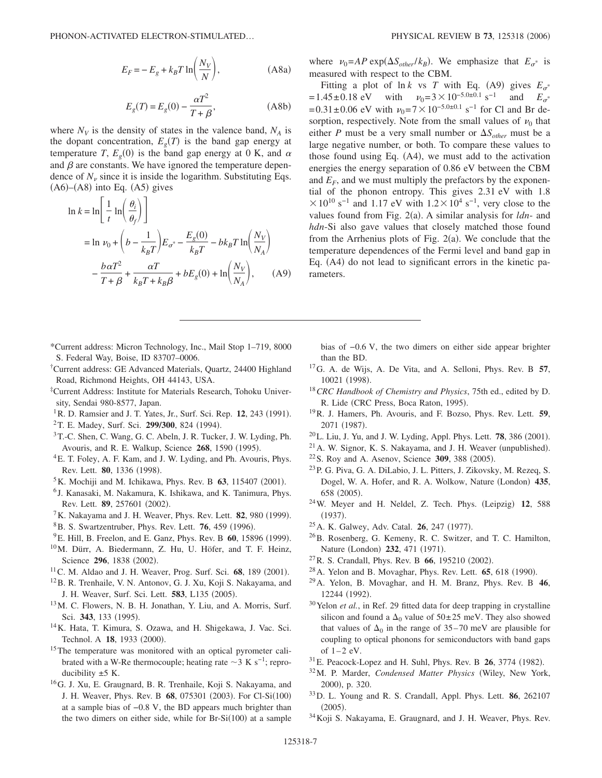$$
E_F = -E_g + k_B T \ln\left(\frac{N_V}{N}\right),\tag{A8a}
$$

$$
E_g(T) = E_g(0) - \frac{\alpha T^2}{T + \beta},
$$
\n(A8b)

where  $N_V$  is the density of states in the valence band,  $N_A$  is the dopant concentration,  $E<sub>g</sub>(T)$  is the band gap energy at temperature *T*,  $E_g(0)$  is the band gap energy at 0 K, and  $\alpha$ and  $\beta$  are constants. We have ignored the temperature dependence of  $N<sub>v</sub>$  since it is inside the logarithm. Substituting Eqs.  $(A6)$ – $(A8)$  into Eq.  $(A5)$  gives

$$
\ln k = \ln \left[ \frac{1}{t} \ln \left( \frac{\theta_i}{\theta_f} \right) \right]
$$
  
=  $\ln \nu_0 + \left( b - \frac{1}{k_B T} \right) E_{\sigma^*} - \frac{E_g(0)}{k_B T} - b k_B T \ln \left( \frac{N_V}{N_A} \right)$   

$$
- \frac{b \alpha T^2}{T + \beta} + \frac{\alpha T}{k_B T + k_B \beta} + b E_g(0) + \ln \left( \frac{N_V}{N_A} \right), \quad (A9)
$$

\*Current address: Micron Technology, Inc., Mail Stop 1–719, 8000 S. Federal Way, Boise, ID 83707–0006.

- † Current address: GE Advanced Materials, Quartz, 24400 Highland Road, Richmond Heights, OH 44143, USA.
- ‡Current Address: Institute for Materials Research, Tohoku University, Sendai 980-8577, Japan.
- <sup>1</sup> R. D. Ramsier and J. T. Yates, Jr., Surf. Sci. Rep. 12, 243 (1991).
- <sup>2</sup> T. E. Madey, Surf. Sci. 299/300, 824 (1994).
- 3T.-C. Shen, C. Wang, G. C. Abeln, J. R. Tucker, J. W. Lyding, Ph. Avouris, and R. E. Walkup, Science 268, 1590 (1995).
- 4E. T. Foley, A. F. Kam, and J. W. Lyding, and Ph. Avouris, Phys. Rev. Lett. **80**, 1336 (1998).
- ${}^{5}$ K. Mochiji and M. Ichikawa, Phys. Rev. B 63, 115407 (2001).
- <sup>6</sup> J. Kanasaki, M. Nakamura, K. Ishikawa, and K. Tanimura, Phys. Rev. Lett. **89**, 257601 (2002).
- <sup>7</sup>K. Nakayama and J. H. Weaver, Phys. Rev. Lett. **82**, 980 (1999).
- <sup>8</sup>B. S. Swartzentruber, Phys. Rev. Lett. **76**, 459 (1996).
- <sup>9</sup> E. Hill, B. Freelon, and E. Ganz, Phys. Rev. B **60**, 15896 (1999).
- 10M. Dürr, A. Biedermann, Z. Hu, U. Höfer, and T. F. Heinz, Science 296, 1838 (2002).
- <sup>11</sup> C. M. Aldao and J. H. Weaver, Prog. Surf. Sci. 68, 189 (2001).
- 12B. R. Trenhaile, V. N. Antonov, G. J. Xu, Koji S. Nakayama, and J. H. Weaver, Surf. Sci. Lett. 583, L135 (2005).
- 13M. C. Flowers, N. B. H. Jonathan, Y. Liu, and A. Morris, Surf. Sci. 343, 133 (1995).
- 14K. Hata, T. Kimura, S. Ozawa, and H. Shigekawa, J. Vac. Sci. Technol. A 18, 1933 (2000).
- <sup>15</sup>The temperature was monitored with an optical pyrometer calibrated with a W-Re thermocouple; heating rate  $\sim$ 3 K s<sup>-1</sup>; reproducibility  $\pm$ 5 K.
- 16G. J. Xu, E. Graugnard, B. R. Trenhaile, Koji S. Nakayama, and J. H. Weaver, Phys. Rev. B 68, 075301 (2003). For Cl-Si(100) at a sample bias of −0.8 V, the BD appears much brighter than the two dimers on either side, while for  $Br-Si(100)$  at a sample

where  $v_0 = AP \exp(\Delta S_{other}/k_B)$ . We emphasize that  $E_{\sigma^*}$  is measured with respect to the CBM.

Fitting a plot of  $\ln k$  vs *T* with Eq. (A9) gives  $E_{\sigma^*}$  $=1.45\pm0.18$  eV with  $v_0=3\times10^{-5.0\pm0.1}$  s<sup>-1</sup> and  $E_{\sigma^*}$ =0.31±0.06 eV with  $v_0$ =7 $\times$ 10<sup>-5.0±0.1</sup> s<sup>-1</sup> for Cl and Br desorption, respectively. Note from the small values of  $\nu_0$  that either *P* must be a very small number or  $\Delta S_{other}$  must be a large negative number, or both. To compare these values to those found using Eq. (A4), we must add to the activation energies the energy separation of 0.86 eV between the CBM and  $E_F$ , and we must multiply the prefactors by the exponential of the phonon entropy. This gives 2.31 eV with 1.8  $\times 10^{10}$  s<sup>-1</sup> and 1.17 eV with 1.2 $\times 10^{4}$  s<sup>-1</sup>, very close to the values found from Fig. 2(a). A similar analysis for *ldn*- and *hdn*-Si also gave values that closely matched those found from the Arrhenius plots of Fig.  $2(a)$ . We conclude that the temperature dependences of the Fermi level and band gap in Eq. (A4) do not lead to significant errors in the kinetic parameters.

- bias of −0.6 V, the two dimers on either side appear brighter than the BD.
- 17G. A. de Wijs, A. De Vita, and A. Selloni, Phys. Rev. B **57**, 10021 (1998).
- <sup>18</sup>*CRC Handbook of Chemistry and Physics*, 75th ed., edited by D. R. Lide (CRC Press, Boca Raton, 1995).
- 19R. J. Hamers, Ph. Avouris, and F. Bozso, Phys. Rev. Lett. **59**, 2071 (1987).
- <sup>20</sup>L. Liu, J. Yu, and J. W. Lyding, Appl. Phys. Lett. **78**, 386 (2001).
- $21$  A. W. Signor, K. S. Nakayama, and J. H. Weaver (unpublished).
- <sup>22</sup> S. Roy and A. Asenov, Science 309, 388 (2005).
- 23P. G. Piva, G. A. DiLabio, J. L. Pitters, J. Zikovsky, M. Rezeq, S. Dogel, W. A. Hofer, and R. A. Wolkow, Nature (London) 435, 658 (2005).
- <sup>24</sup> W. Meyer and H. Neldel, Z. Tech. Phys. (Leipzig) 12, 588  $(1937).$
- <sup>25</sup> A. K. Galwey, Adv. Catal. **26**, 247 (1977).
- 26B. Rosenberg, G. Kemeny, R. C. Switzer, and T. C. Hamilton, Nature (London) 232, 471 (1971).
- <sup>27</sup> R. S. Crandall, Phys. Rev. B **66**, 195210 (2002).
- <sup>28</sup> A. Yelon and B. Movaghar, Phys. Rev. Lett. **65**, 618 (1990).
- 29A. Yelon, B. Movaghar, and H. M. Branz, Phys. Rev. B **46**, 12244 (1992).
- <sup>30</sup>Yelon *et al.*, in Ref. 29 fitted data for deep trapping in crystalline silicon and found a  $\Delta_0$  value of  $50\pm 25$  meV. They also showed that values of  $\Delta_0$  in the range of 35–70 meV are plausible for coupling to optical phonons for semiconductors with band gaps of  $1-2$  eV.
- <sup>31</sup> E. Peacock-Lopez and H. Suhl, Phys. Rev. B **26**, 3774 (1982).
- <sup>32</sup>M. P. Marder, *Condensed Matter Physics* (Wiley, New York, 2000), p. 320.
- 33D. L. Young and R. S. Crandall, Appl. Phys. Lett. **86**, 262107  $(2005).$
- 34Koji S. Nakayama, E. Graugnard, and J. H. Weaver, Phys. Rev.